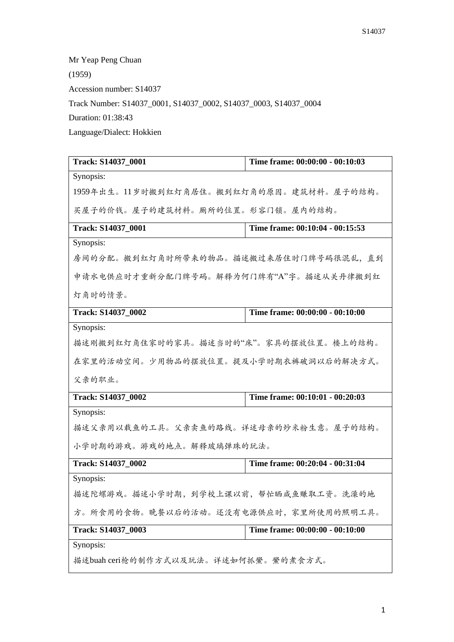Mr Yeap Peng Chuan (1959) Accession number: S14037 Track Number: S14037\_0001, S14037\_0002, S14037\_0003, S14037\_0004 Duration: 01:38:43 Language/Dialect: Hokkien **Track: S14037\_0001 Time frame: 00:00:00 - 00:10:03** Synopsis:

1959年出生。11岁时搬到红灯角居住。搬到红灯角的原因。建筑材料。屋子的结构。

买屋子的价钱。屋子的建筑材料。厕所的位置。形容门锁。屋内的结构。

| Track: S14037 0001                     | Time frame: 00:10:04 - 00:15:53 |  |
|----------------------------------------|---------------------------------|--|
| Synopsis:                              |                                 |  |
| 房间的分配。搬到红灯角时所带来的物品。描述搬过来居住时门牌号码很混乱,直到  |                                 |  |
| 申请水电供应时才重新分配门牌号码。解释为何门牌有"A"字。描述从关丹律搬到红 |                                 |  |
| 灯角时的情景。                                |                                 |  |
| Track: S14037_0002                     | Time frame: 00:00:00 - 00:10:00 |  |
| Synopsis:                              |                                 |  |
| 描述刚搬到红灯角住家时的家具。描述当时的"床"。家具的摆放位置。楼上的结构。 |                                 |  |
| 在家里的活动空间。少用物品的摆放位置。提及小学时期衣裤破洞以后的解决方式。  |                                 |  |
| 父亲的职业。                                 |                                 |  |
| Track: S14037_0002                     | Time frame: 00:10:01 - 00:20:03 |  |
| Synopsis:                              |                                 |  |

描述父亲用以载鱼的工具。父亲卖鱼的路线。详述母亲的炒米粉生意。屋子的结构。

小学时期的游戏。游戏的地点。解释玻璃弹珠的玩法。

| Track: S14037 0002                    | Time frame: 00:20:04 - 00:31:04 |  |
|---------------------------------------|---------------------------------|--|
| Synopsis:                             |                                 |  |
| 描述陀螺游戏。描述小学时期,到学校上课以前,帮忙晒咸鱼赚取工资。洗澡的地  |                                 |  |
| 方。所食用的食物。晚餐以后的活动。还没有电源供应时,家里所使用的照明工具。 |                                 |  |
| <b>Track: S14037 0003</b>             | Time frame: 00:00:00 - 00:10:00 |  |
| Synopsis:                             |                                 |  |
| 描述buah ceri枪的制作方式以及玩法。详述如何抓鱟。鱟的煮食方式。  |                                 |  |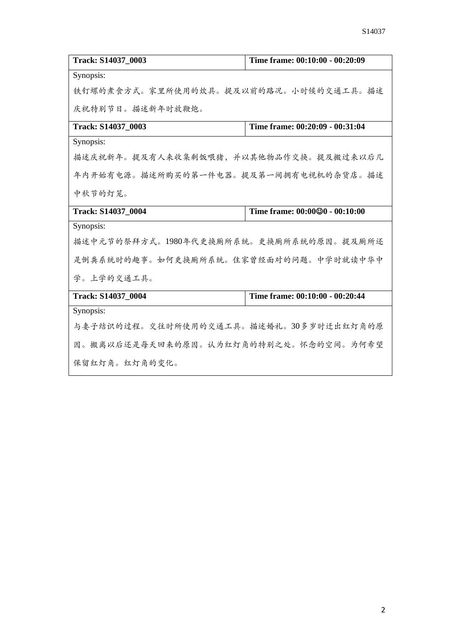| Track: S14037 0003                      | Time frame: 00:10:00 - 00:20:09 |  |
|-----------------------------------------|---------------------------------|--|
| Synopsis:                               |                                 |  |
| 铁钉螺的煮食方式。家里所使用的炊具。提及以前的路况。小时候的交通工具。描述   |                                 |  |
| 庆祝特别节日。描述新年时放鞭炮。                        |                                 |  |
| Track: S14037_0003                      | Time frame: 00:20:09 - 00:31:04 |  |
| Synopsis:                               |                                 |  |
| 描述庆祝新年。提及有人来收集剩饭喂猪,并以其他物品作交换。提及搬过来以后几   |                                 |  |
| 年内开始有电源。描述所购买的第一件电器。提及第一间拥有电视机的杂货店。描述   |                                 |  |
| 中秋节的灯笼。                                 |                                 |  |
| Track: S14037_0004                      | Time frame: 00:00@0 - 00:10:00  |  |
| Synopsis:                               |                                 |  |
| 描述中元节的祭拜方式。1980年代更换厕所系统。更换厕所系统的原因。提及厕所还 |                                 |  |
| 是倒粪系统时的趣事。如何更换厕所系统。住家曾经面对的问题。中学时就读中华中   |                                 |  |
| 学。上学的交通工具。                              |                                 |  |
| Track: S14037 0004                      | Time frame: 00:10:00 - 00:20:44 |  |
| Synopsis:                               |                                 |  |
| 与妻子结识的过程。交往时所使用的交通工具。描述婚礼。30多岁时迁出红灯角的原  |                                 |  |
| 因。搬离以后还是每天回来的原因。认为红灯角的特别之处。怀念的空间。为何希望   |                                 |  |
| 保留红灯角。红灯角的变化。                           |                                 |  |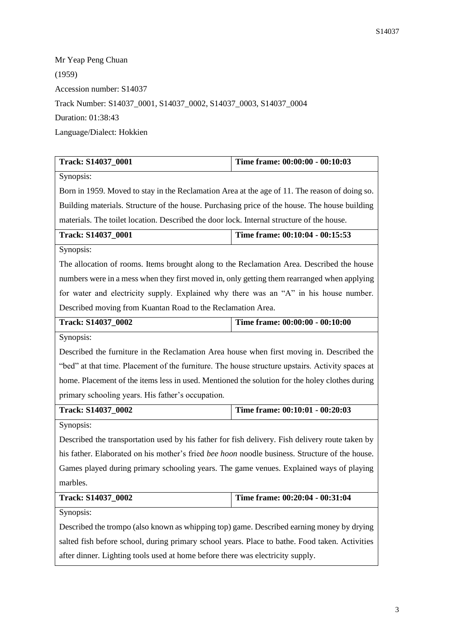Mr Yeap Peng Chuan (1959) Accession number: S14037 Track Number: S14037\_0001, S14037\_0002, S14037\_0003, S14037\_0004 Duration: 01:38:43 Language/Dialect: Hokkien

| Track: S14037_0001                                                                                    | Time frame: 00:00:00 - 00:10:03 |  |
|-------------------------------------------------------------------------------------------------------|---------------------------------|--|
| Synopsis:                                                                                             |                                 |  |
| Born in 1959. Moved to stay in the Reclamation Area at the age of 11. The reason of doing so.         |                                 |  |
| Building materials. Structure of the house. Purchasing price of the house. The house building         |                                 |  |
| materials. The toilet location. Described the door lock. Internal structure of the house.             |                                 |  |
| Track: S14037_0001                                                                                    | Time frame: 00:10:04 - 00:15:53 |  |
| Synopsis:                                                                                             |                                 |  |
| The allocation of rooms. Items brought along to the Reclamation Area. Described the house             |                                 |  |
| numbers were in a mess when they first moved in, only getting them rearranged when applying           |                                 |  |
| for water and electricity supply. Explained why there was an "A" in his house number.                 |                                 |  |
| Described moving from Kuantan Road to the Reclamation Area.                                           |                                 |  |
| Track: S14037_0002                                                                                    | Time frame: 00:00:00 - 00:10:00 |  |
| Synopsis:                                                                                             |                                 |  |
| Described the furniture in the Reclamation Area house when first moving in. Described the             |                                 |  |
| "bed" at that time. Placement of the furniture. The house structure upstairs. Activity spaces at      |                                 |  |
| home. Placement of the items less in used. Mentioned the solution for the holey clothes during        |                                 |  |
| primary schooling years. His father's occupation.                                                     |                                 |  |
| Track: S14037_0002                                                                                    | Time frame: 00:10:01 - 00:20:03 |  |
| Synopsis:                                                                                             |                                 |  |
| Described the transportation used by his father for fish delivery. Fish delivery route taken by       |                                 |  |
| his father. Elaborated on his mother's fried <i>bee hoon</i> noodle business. Structure of the house. |                                 |  |
| Games played during primary schooling years. The game venues. Explained ways of playing               |                                 |  |
| marbles.                                                                                              |                                 |  |
| Track: S14037_0002                                                                                    | Time frame: 00:20:04 - 00:31:04 |  |
| Synopsis:                                                                                             |                                 |  |
| Described the trompo (also known as whipping top) game. Described earning money by drying             |                                 |  |
| salted fish before school, during primary school years. Place to bathe. Food taken. Activities        |                                 |  |
| after dinner. Lighting tools used at home before there was electricity supply.                        |                                 |  |